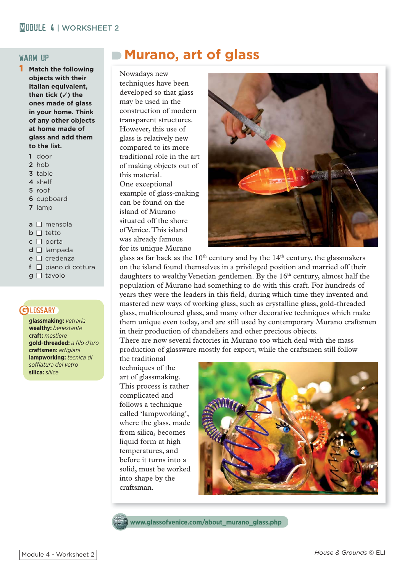#### warm up

- **Match the following objects with their Italian equivalent, then tick (**✓**) the ones made of glass in your home. Think of any other objects at home made of glass and add them to the list.**
	- 1 door
	- 2 hob
	- 3 table
	- 4 shelf
	- 5 roof
	- 6 cupboard
	- 7 lamp
	- $a \Box$  mensola
	- $b \Box$  tetto
	- $c \Box$  porta
	- $d \Box$  lampada
	- $e \sqcap$  credenza
	- $f \Box$  piano di cottura
	- $g \Box$  tavolo

### **BLOSSARY**

**glassmaking:** *vetraria* **wealthy:** *benestante* **craft:** *mestiere*  **gold-threaded:** *a fi lo d'oro* **craftsmen:** *artigiani* **lampworking:** *tecnica di soffi atura del vetro* **silica:** *silice*

# **Murano, art of glass**

Nowadays new techniques have been developed so that glass may be used in the construction of modern transparent structures. However, this use of glass is relatively new compared to its more traditional role in the art of making objects out of this material. One exceptional example of glass-making can be found on the island of Murano situated off the shore of Venice. This island was already famous for its unique Murano



glass as far back as the  $10<sup>th</sup>$  century and by the  $14<sup>th</sup>$  century, the glassmakers on the island found themselves in a privileged position and married off their daughters to wealthy Venetian gentlemen. By the  $16<sup>th</sup>$  century, almost half the population of Murano had something to do with this craft. For hundreds of years they were the leaders in this field, during which time they invented and mastered new ways of working glass, such as crystalline glass, gold-threaded glass, multicoloured glass, and many other decorative techniques which make them unique even today, and are still used by contemporary Murano craftsmen in their production of chandeliers and other precious objects.

There are now several factories in Murano too which deal with the mass production of glassware mostly for export, while the craftsmen still follow

the traditional techniques of the art of glassmaking. This process is rather complicated and follows a technique called 'lampworking', where the glass, made from silica, becomes liquid form at high temperatures, and before it turns into a solid, must be worked into shape by the craftsman.



**www.glassofvenice.com/about\_murano\_glass.php**